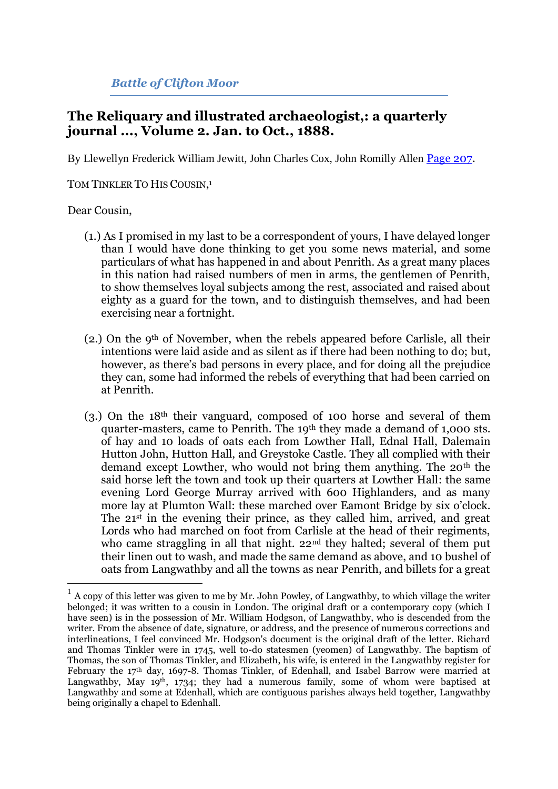## *Battle of Clifton Moor*

## **The Reliquary and illustrated archaeologist,: a quarterly journal ..., Volume 2. Jan. to Oct., 1888.**

By Llewellyn Frederick William Jewitt, John Charles Cox, John Romilly Allen [Page 207.](http://books.google.com/books?id=Zp81AAAAMAAJ&lpg=PA174&ots=kseTvq0DEQ&dq=%22Clifton%20Moor%22%20journal&pg=PA207#v=onepage&q&f=false)

TOM TINKLER TO HIS COUSIN,<sup>1</sup>

## Dear Cousin,

- (1.) As I promised in my last to be a correspondent of yours, I have delayed longer than I would have done thinking to get you some news material, and some particulars of what has happened in and about Penrith. As a great many places in this nation had raised numbers of men in arms, the gentlemen of Penrith, to show themselves loyal subjects among the rest, associated and raised about eighty as a guard for the town, and to distinguish themselves, and had been exercising near a fortnight.
- $(2.)$  On the 9<sup>th</sup> of November, when the rebels appeared before Carlisle, all their intentions were laid aside and as silent as if there had been nothing to do; but, however, as there's bad persons in every place, and for doing all the prejudice they can, some had informed the rebels of everything that had been carried on at Penrith.
- (3.) On the 18th their vanguard, composed of 100 horse and several of them quarter-masters, came to Penrith. The 19th they made a demand of 1,000 sts. of hay and 10 loads of oats each from Lowther Hall, Ednal Hall, Dalemain Hutton John, Hutton Hall, and Greystoke Castle. They all complied with their demand except Lowther, who would not bring them anything. The 20th the said horse left the town and took up their quarters at Lowther Hall: the same evening Lord George Murray arrived with 600 Highlanders, and as many more lay at Plumton Wall: these marched over Eamont Bridge by six o'clock. The 21st in the evening their prince, as they called him, arrived, and great Lords who had marched on foot from Carlisle at the head of their regiments, who came straggling in all that night. 22<sup>nd</sup> they halted; several of them put their linen out to wash, and made the same demand as above, and 10 bushel of oats from Langwathby and all the towns as near Penrith, and billets for a great

 $\frac{1}{1}$  A copy of this letter was given to me by Mr. John Powley, of Langwathby, to which village the writer belonged; it was written to a cousin in London. The original draft or a contemporary copy (which I have seen) is in the possession of Mr. William Hodgson, of Langwathby, who is descended from the writer. From the absence of date, signature, or address, and the presence of numerous corrections and interlineations, I feel convinced Mr. Hodgson's document is the original draft of the letter. Richard and Thomas Tinkler were in 1745, well to-do statesmen (yeomen) of Langwathby. The baptism of Thomas, the son of Thomas Tinkler, and Elizabeth, his wife, is entered in the Langwathby register for February the 17th day, 1697-8. Thomas Tinkler, of Edenhall, and Isabel Barrow were married at Langwathby, May 19<sup>th</sup>, 1734; they had a numerous family, some of whom were baptised at Langwathby and some at Edenhall, which are contiguous parishes always held together, Langwathby being originally a chapel to Edenhall.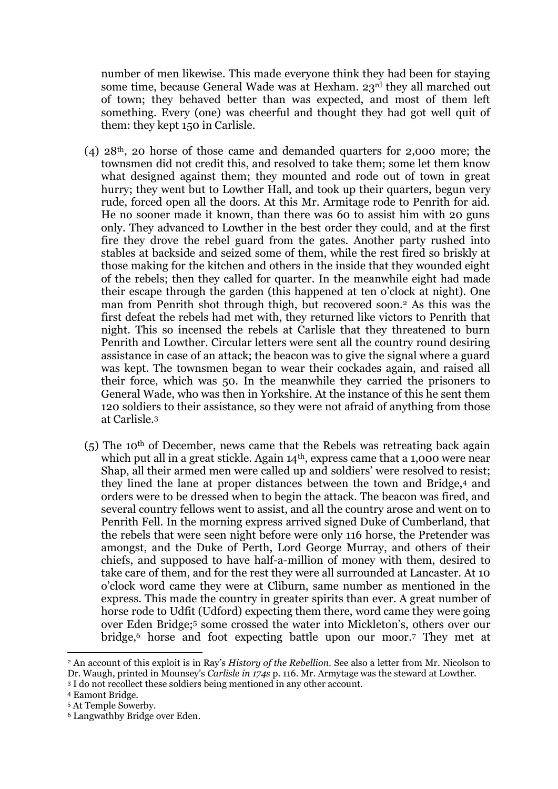number of men likewise. This made everyone think they had been for staying some time, because General Wade was at Hexham. 23rd they all marched out of town; they behaved better than was expected, and most of them left something. Every (one) was cheerful and thought they had got well quit of them: they kept 150 in Carlisle.

- (4) 28th, 20 horse of those came and demanded quarters for 2,000 more; the townsmen did not credit this, and resolved to take them; some let them know what designed against them; they mounted and rode out of town in great hurry; they went but to Lowther Hall, and took up their quarters, begun very rude, forced open all the doors. At this Mr. Armitage rode to Penrith for aid. He no sooner made it known, than there was 60 to assist him with 20 guns only. They advanced to Lowther in the best order they could, and at the first fire they drove the rebel guard from the gates. Another party rushed into stables at backside and seized some of them, while the rest fired so briskly at those making for the kitchen and others in the inside that they wounded eight of the rebels; then they called for quarter. In the meanwhile eight had made their escape through the garden (this happened at ten o'clock at night). One man from Penrith shot through thigh, but recovered soon.<sup>2</sup> As this was the first defeat the rebels had met with, they returned like victors to Penrith that night. This so incensed the rebels at Carlisle that they threatened to burn Penrith and Lowther. Circular letters were sent all the country round desiring assistance in case of an attack; the beacon was to give the signal where a guard was kept. The townsmen began to wear their cockades again, and raised all their force, which was 50. In the meanwhile they carried the prisoners to General Wade, who was then in Yorkshire. At the instance of this he sent them 120 soldiers to their assistance, so they were not afraid of anything from those at Carlisle.<sup>3</sup>
- (5) The 10th of December, news came that the Rebels was retreating back again which put all in a great stickle. Again  $14<sup>th</sup>$ , express came that a 1,000 were near Shap, all their armed men were called up and soldiers' were resolved to resist; they lined the lane at proper distances between the town and Bridge,<sup>4</sup> and orders were to be dressed when to begin the attack. The beacon was fired, and several country fellows went to assist, and all the country arose and went on to Penrith Fell. In the morning express arrived signed Duke of Cumberland, that the rebels that were seen night before were only 116 horse, the Pretender was amongst, and the Duke of Perth, Lord George Murray, and others of their chiefs, and supposed to have half-a-million of money with them, desired to take care of them, and for the rest they were all surrounded at Lancaster. At 10 o'clock word came they were at Cliburn, same number as mentioned in the express. This made the country in greater spirits than ever. A great number of horse rode to Udfit (Udford) expecting them there, word came they were going over Eden Bridge; <sup>5</sup> some crossed the water into Mickleton's, others over our bridge,<sup>6</sup> horse and foot expecting battle upon our moor.<sup>7</sup> They met at

<u>.</u>

<sup>2</sup> An account of this exploit is in Ray's *History of the Rebellion.* See also a letter from Mr. Nicolson to Dr. Waugh, printed in Mounsey's *Carlisle in 174s* p. 116. Mr. Armytage was the steward at Lowther. <sup>3</sup> I do not recollect these soldiers being mentioned in any other account.

<sup>4</sup> Eamont Bridge.

<sup>5</sup> At Temple Sowerby.

<sup>6</sup> Langwathby Bridge over Eden.